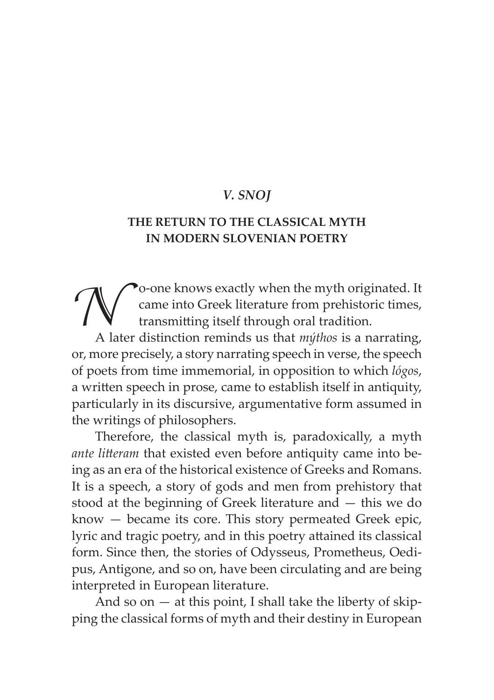## *V. SNOJ*

## **THE RETURN TO THE CLASSICAL MYTH IN MODERN SLOVENIAN POETRY**

To-one knows exactly when the myth originated. It<br>came into Greek literature from prehistoric times,<br>has transmitting itself through oral tradition.<br>A later distinction reminds us that *mithos* is a narrating. came into Greek literature from prehistoric times, transmitting itself through oral tradition.

A later distinction reminds us that *mýthos* is a narrating, or, more precisely, a story narrating speech in verse, the speech of poets from time immemorial, in opposition to which *lógos*, a written speech in prose, came to establish itself in antiquity, particularly in its discursive, argumentative form assumed in the writings of philosophers.

Therefore, the classical myth is, paradoxically, a myth *ante litteram* that existed even before antiquity came into being as an era of the historical existence of Greeks and Romans. It is a speech, a story of gods and men from prehistory that stood at the beginning of Greek literature and — this we do know — became its core. This story permeated Greek epic, lyric and tragic poetry, and in this poetry attained its classical form. Since then, the stories of Odysseus, Prometheus, Oedipus, Antigone, and so on, have been circulating and are being interpreted in European literature.

And so on  $-$  at this point, I shall take the liberty of skipping the classical forms of myth and their destiny in European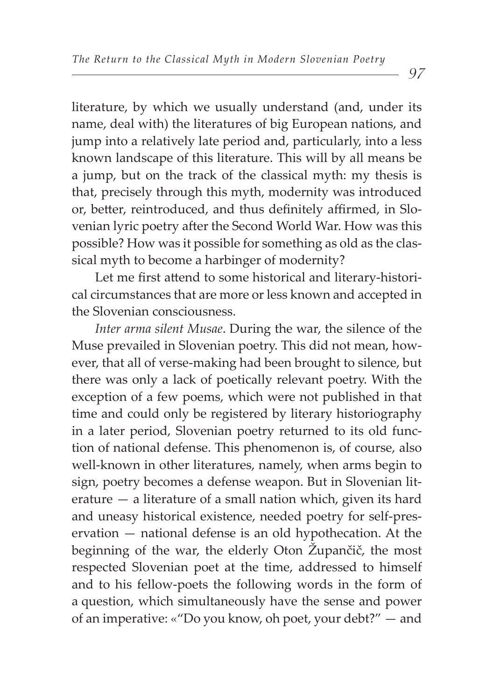literature, by which we usually understand (and, under its name, deal with) the literatures of big European nations, and jump into a relatively late period and, particularly, into a less known landscape of this literature. This will by all means be a jump, but on the track of the classical myth: my thesis is that, precisely through this myth, modernity was introduced or, better, reintroduced, and thus definitely affirmed, in Slovenian lyric poetry after the Second World War. How was this possible? How was it possible for something as old as the classical myth to become a harbinger of modernity?

Let me first attend to some historical and literary-historical circumstances that are more or less known and accepted in the Slovenian consciousness.

*Inter arma silent Musae*. During the war, the silence of the Muse prevailed in Slovenian poetry. This did not mean, however, that all of verse-making had been brought to silence, but there was only a lack of poetically relevant poetry. With the exception of a few poems, which were not published in that time and could only be registered by literary historiography in a later period, Slovenian poetry returned to its old function of national defense. This phenomenon is, of course, also well-known in other literatures, namely, when arms begin to sign, poetry becomes a defense weapon. But in Slovenian literature — a literature of a small nation which, given its hard and uneasy historical existence, needed poetry for self-preservation — national defense is an old hypothecation. At the beginning of the war, the elderly Oton Župančič, the most respected Slovenian poet at the time, addressed to himself and to his fellow-poets the following words in the form of a question, which simultaneously have the sense and power of an imperative: «"Do you know, oh poet, your debt?" — and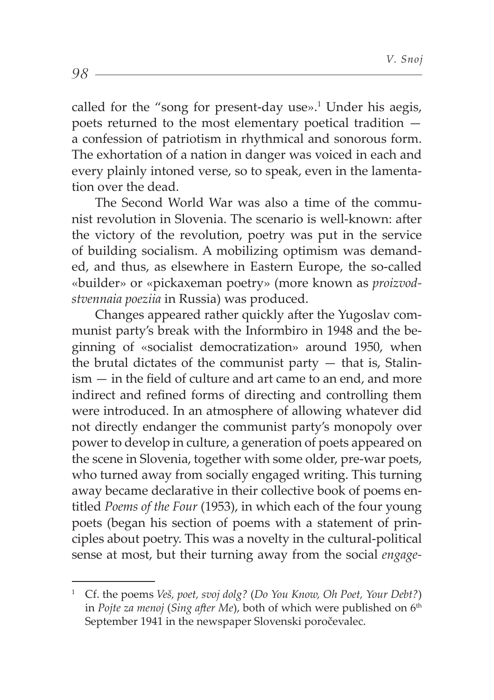called for the "song for present-day use».<sup>1</sup> Under his aegis, poets returned to the most elementary poetical tradition a confession of patriotism in rhythmical and sonorous form. The exhortation of a nation in danger was voiced in each and every plainly intoned verse, so to speak, even in the lamentation over the dead.

The Second World War was also a time of the communist revolution in Slovenia. The scenario is well-known: after the victory of the revolution, poetry was put in the service of building socialism. A mobilizing optimism was demanded, and thus, as elsewhere in Eastern Europe, the so-called «builder» or «pickaxeman poetry» (more known as *proizvodstvennaia poeziia* in Russia) was produced.

Changes appeared rather quickly after the Yugoslay communist party's break with the Informbiro in 1948 and the beginning of «socialist democratization» around 1950, when the brutal dictates of the communist party  $-$  that is, Stalin $ism - in$  the field of culture and art came to an end, and more indirect and refined forms of directing and controlling them were introduced. In an atmosphere of allowing whatever did not directly endanger the communist party's monopoly over power to develop in culture, a generation of poets appeared on the scene in Slovenia, together with some older, pre-war poets, who turned away from socially engaged writing. This turning away became declarative in their collective book of poems entitled *Poems of the Four* (1953), in which each of the four young poets (began his section of poems with a statement of principles about poetry. This was a novelty in the cultural-political sense at most, but their turning away from the social *engage-*

98

<sup>1</sup> Cf. the poems *Veš, poet, svoj dolg?* (*Do You Know, Oh Poet, Your Debt?*) in *Pojte za menoj* (*Sing after Me*), both of which were published on 6<sup>th</sup> September 1941 in the newspaper Slovenski poročevalec.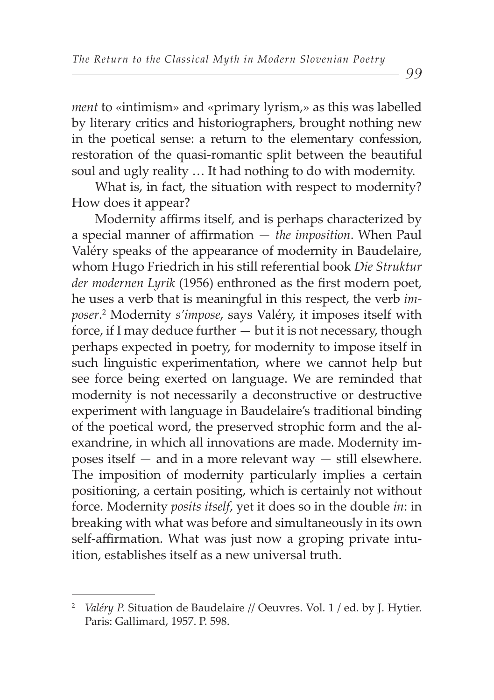*ment* to «intimism» and «primary lyrism,» as this was labelled by literary critics and historiographers, brought nothing new in the poetical sense: a return to the elementary confession, restoration of the quasi-romantic split between the beautiful soul and ugly reality … It had nothing to do with modernity.

What is, in fact, the situation with respect to modernity? How does it appear?

Modernity affirms itself, and is perhaps characterized by a special manner of affirmation  $-$  *the imposition*. When Paul Valéry speaks of the appearance of modernity in Baudelaire, whom Hugo Friedrich in his still referential book *Die Struktur der modernen Lyrik* (1956) enthroned as the first modern poet, he uses a verb that is meaningful in this respect, the verb *imposer*. 2 Modernity *s'impose*, says Valéry, it imposes itself with force, if I may deduce further  $-$  but it is not necessary, though perhaps expected in poetry, for modernity to impose itself in such linguistic experimentation, where we cannot help but see force being exerted on language. We are reminded that modernity is not necessarily a deconstructive or destructive experiment with language in Baudelaire's traditional binding of the poetical word, the preserved strophic form and the alexandrine, in which all innovations are made. Modernity imposes itself — and in a more relevant way — still elsewhere. The imposition of modernity particularly implies a certain positioning, a certain positing, which is certainly not without force. Modernity *posits itself*, yet it does so in the double *in*: in breaking with what was before and simultaneously in its own self-affirmation. What was just now a groping private intuition, establishes itself as a new universal truth.

<sup>2</sup>  *Valéry P.* Situation de Baudelaire // Oeuvres. Vol. 1 / ed. by J. Hytier. Paris: Gallimard, 1957. P. 598.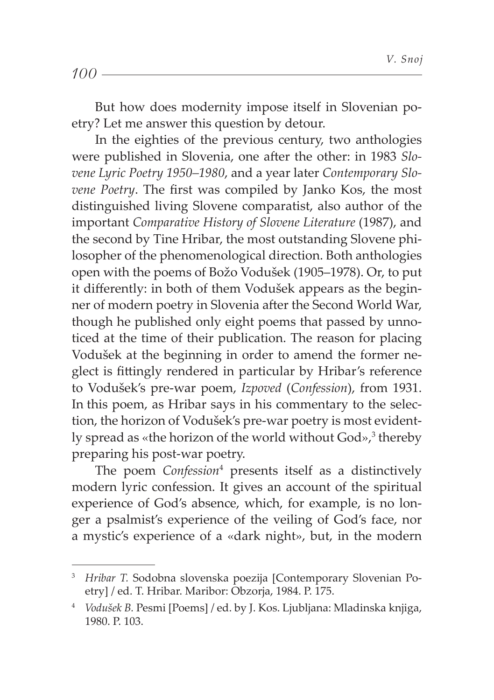|--|--|--|

But how does modernity impose itself in Slovenian poetry? Let me answer this question by detour.

In the eighties of the previous century, two anthologies were published in Slovenia, one after the other: in 1983 *Slovene Lyric Poetry 1950–1980*, and a year later *Contemporary Slovene Poetry*. The first was compiled by Janko Kos, the most distinguished living Slovene comparatist, also author of the important *Comparative History of Slovene Literature* (1987), and the second by Tine Hribar, the most outstanding Slovene philosopher of the phenomenological direction. Both anthologies open with the poems of Božo Vodušek (1905–1978). Or, to put it differently: in both of them Vodušek appears as the beginner of modern poetry in Slovenia after the Second World War, though he published only eight poems that passed by unnoticed at the time of their publication. The reason for placing Vodušek at the beginning in order to amend the former neglect is fittingly rendered in particular by Hribar's reference to Vodušek's pre-war poem, *Izpoved* (*Confession*), from 1931. In this poem, as Hribar says in his commentary to the selection, the horizon of Vodušek's pre-war poetry is most evidently spread as «the horizon of the world without God»,<sup>3</sup> thereby preparing his post-war poetry.

The poem *Confession*<sup>4</sup> presents itself as a distinctively modern lyric confession. It gives an account of the spiritual experience of God's absence, which, for example, is no longer a psalmist's experience of the veiling of God's face, nor a mystic's experience of a «dark night», but, in the modern

<sup>&</sup>lt;sup>3</sup> Hribar T. Sodobna slovenska poezija [Contemporary Slovenian Poetry] / ed. T. Hribar. Maribor: Obzorja, 1984. P. 175.

<sup>4</sup>  *Vodušek B.* Pesmi [Poems] / ed. by J. Kos. Ljubljana: Mladinska knjiga, 1980. P. 103.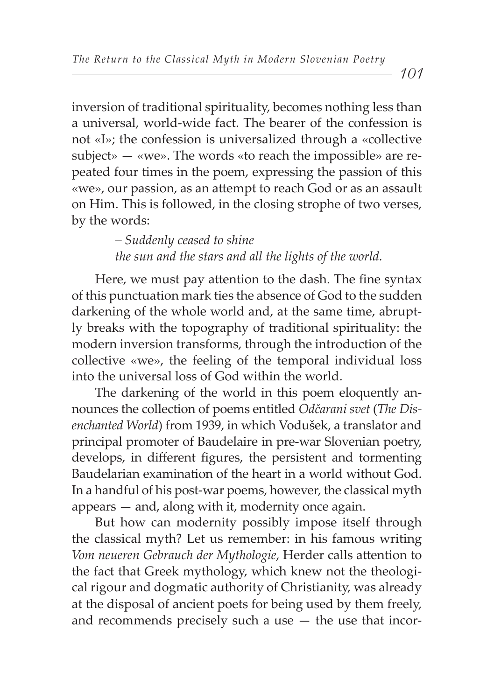inversion of traditional spirituality, becomes nothing less than a universal, world-wide fact. The bearer of the confession is not «I»; the confession is universalized through a «collective subject»  $-$  «we». The words «to reach the impossible» are repeated four times in the poem, expressing the passion of this «we», our passion, as an attempt to reach God or as an assault on Him. This is followed, in the closing strophe of two verses, by the words:

> *– Suddenly ceased to shine the sun and the stars and all the lights of the world.*

Here, we must pay attention to the dash. The fine syntax of this punctuation mark ties the absence of God to the sudden darkening of the whole world and, at the same time, abruptly breaks with the topography of traditional spirituality: the modern inversion transforms, through the introduction of the collective «we», the feeling of the temporal individual loss into the universal loss of God within the world.

The darkening of the world in this poem eloquently announces the collection of poems entitled *Odčarani svet* (*The Disenchanted World*) from 1939, in which Vodušek, a translator and principal promoter of Baudelaire in pre-war Slovenian poetry, develops, in different figures, the persistent and tormenting Baudelarian examination of the heart in a world without God. In a handful of his post-war poems, however, the classical myth appears — and, along with it, modernity once again.

But how can modernity possibly impose itself through the classical myth? Let us remember: in his famous writing *Vom neueren Gebrauch der Mythologie*, Herder calls attention to the fact that Greek mythology, which knew not the theological rigour and dogmatic authority of Christianity, was already at the disposal of ancient poets for being used by them freely, and recommends precisely such a use  $-$  the use that incor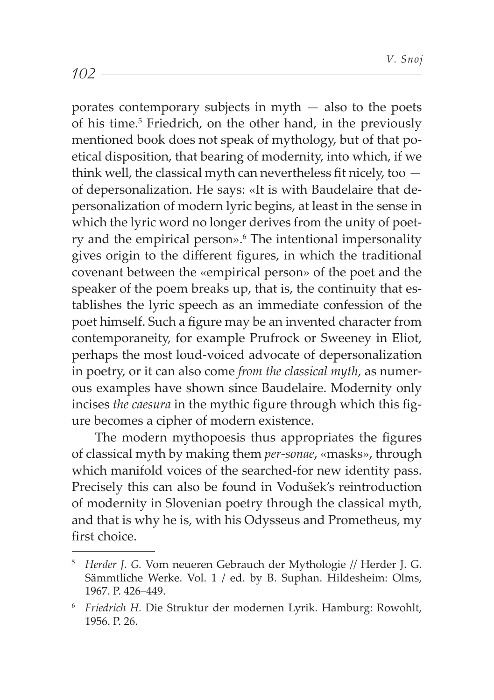porates contemporary subjects in myth  $-$  also to the poets of his time.<sup>5</sup> Friedrich, on the other hand, in the previously mentioned book does not speak of mythology, but of that poetical disposition, that bearing of modernity, into which, if we think well, the classical myth can nevertheless fit nicely, too  $$ of depersonalization. He says: «It is with Baudelaire that depersonalization of modern lyric begins, at least in the sense in which the lyric word no longer derives from the unity of poetry and the empirical person».<sup>6</sup> The intentional impersonality gives origin to the different figures, in which the traditional covenant between the «empirical person» of the poet and the speaker of the poem breaks up, that is, the continuity that establishes the lyric speech as an immediate confession of the poet himself. Such a figure may be an invented character from contemporaneity, for example Prufrock or Sweeney in Eliot, perhaps the most loud-voiced advocate of depersonalization in poetry, or it can also come *from the classical myth*, as numerous examples have shown since Baudelaire. Modernity only incises *the caesura* in the mythic figure through which this figure becomes a cipher of modern existence.

The modern mythopoesis thus appropriates the figures of classical myth by making them *per-sonae*, «masks», through which manifold voices of the searched-for new identity pass. Precisely this can also be found in Vodušek's reintroduction of modernity in Slovenian poetry through the classical myth, and that is why he is, with his Odysseus and Prometheus, my first choice

<sup>5</sup>  *Herder J. G.* Vom neueren Gebrauch der Mythologie // Herder J. G. Sämmtliche Werke. Vol. 1 / ed. by B. Suphan. Hildesheim: Olms, 1967. P. 426–449.

<sup>6</sup>  *Friedrich H.* Die Struktur der modernen Lyrik. Hamburg: Rowohlt, 1956. P. 26.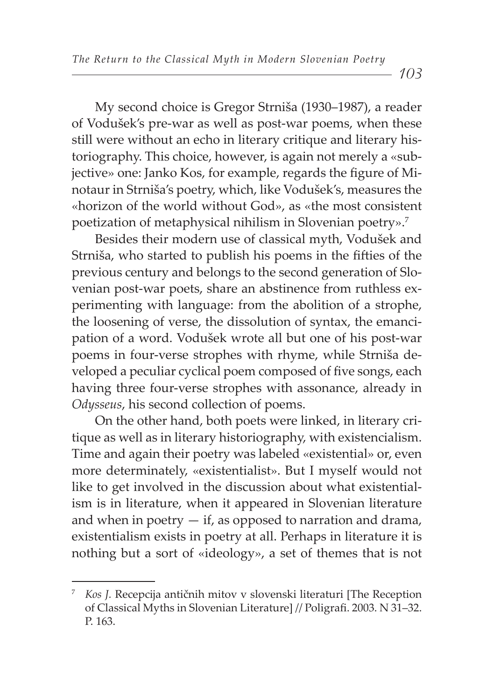My second choice is Gregor Strniša (1930–1987), a reader of Vodušek's pre-war as well as post-war poems, when these still were without an echo in literary critique and literary historiography. This choice, however, is again not merely a «subjective» one: Janko Kos, for example, regards the figure of Minotaur in Strniša's poetry, which, like Vodušek's, measures the «horizon of the world without God», as «the most consistent poetization of metaphysical nihilism in Slovenian poetry».7

Besides their modern use of classical myth, Vodušek and Strniša, who started to publish his poems in the fifties of the previous century and belongs to the second generation of Slovenian post-war poets, share an abstinence from ruthless experimenting with language: from the abolition of a strophe, the loosening of verse, the dissolution of syntax, the emancipation of a word. Vodušek wrote all but one of his post-war poems in four-verse strophes with rhyme, while Strniša developed a peculiar cyclical poem composed of five songs, each having three four-verse strophes with assonance, already in *Odysseus*, his second collection of poems.

On the other hand, both poets were linked, in literary critique as well as in literary historiography, with existencialism. Time and again their poetry was labeled «existential» or, even more determinately, «existentialist». But I myself would not like to get involved in the discussion about what existentialism is in literature, when it appeared in Slovenian literature and when in poetry  $-$  if, as opposed to narration and drama, existentialism exists in poetry at all. Perhaps in literature it is nothing but a sort of «ideology», a set of themes that is not

<sup>7</sup> *Kos J.* Recepcija antičnih mitov v slovenski literaturi [The Reception of Classical Myths in Slovenian Literature] // Poligrafi . 2003. N 31–32. P. 163.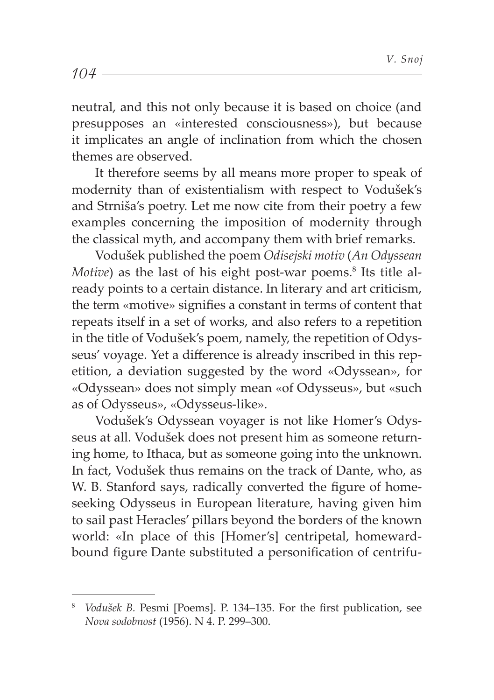neutral, and this not only because it is based on choice (and presupposes an «interested consciousness»), but because it implicates an angle of inclination from which the chosen themes are observed.

It therefore seems by all means more proper to speak of modernity than of existentialism with respect to Vodušek's and Strniša's poetry. Let me now cite from their poetry a few examples concerning the imposition of modernity through the classical myth, and accompany them with brief remarks.

Vodušek published the poem *Odisejski motiv* (*An Odyssean Motive*) as the last of his eight post-war poems.<sup>8</sup> Its title already points to a certain distance. In literary and art criticism, the term «motive» signifies a constant in terms of content that repeats itself in a set of works, and also refers to a repetition in the title of Vodušek's poem, namely, the repetition of Odysseus' voyage. Yet a difference is already inscribed in this repetition, a deviation suggested by the word «Odyssean», for «Odyssean» does not simply mean «of Odysseus», but «such as of Odysseus», «Odysseus-like».

Vodušek's Odyssean voyager is not like Homer's Odysseus at all. Vodušek does not present him as someone returning home, to Ithaca, but as someone going into the unknown. In fact, Vodušek thus remains on the track of Dante, who, as W. B. Stanford says, radically converted the figure of homeseeking Odysseus in European literature, having given him to sail past Heracles' pillars beyond the borders of the known world: «In place of this [Homer's] centripetal, homewardbound figure Dante substituted a personification of centrifu-

 $104 -$ 

<sup>&</sup>lt;sup>8</sup> *Vodušek B. Pesmi [Poems]. P. 134–135. For the first publication, see Nova sodobnost* (1956). N 4. P. 299–300.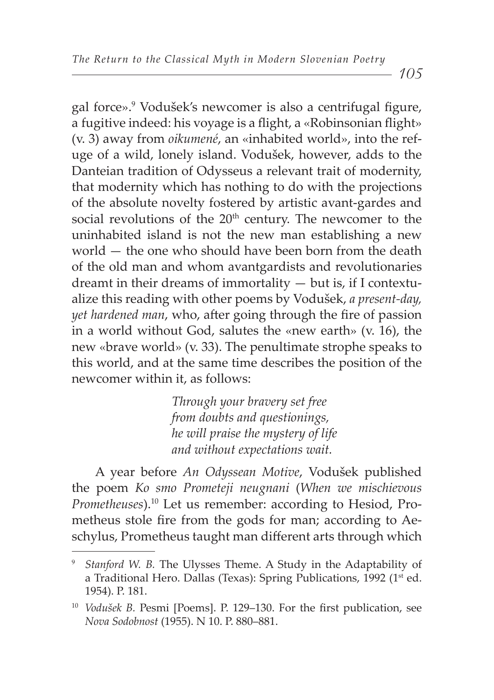105

gal force».<sup>9</sup> Vodušek's newcomer is also a centrifugal figure, a fugitive indeed: his voyage is a flight, a «Robinsonian flight» (v. 3) away from *oikumené*, an «inhabited world», into the refuge of a wild, lonely island. Vodušek, however, adds to the Danteian tradition of Odysseus a relevant trait of modernity, that modernity which has nothing to do with the projections of the absolute novelty fostered by artistic avant-gardes and social revolutions of the 20<sup>th</sup> century. The newcomer to the uninhabited island is not the new man establishing a new world — the one who should have been born from the death of the old man and whom avantgardists and revolutionaries dreamt in their dreams of immortality — but is, if I contextualize this reading with other poems by Vodušek, *a present-day, yet hardened man,* who, after going through the fire of passion in a world without God, salutes the «new earth» (v. 16), the new «brave world» (v. 33). The penultimate strophe speaks to this world, and at the same time describes the position of the newcomer within it, as follows:

> *Through your bravery set free from doubts and questionings, he will praise the mystery of life and without expectations wait.*

A year before *An Odyssean Motive*, Vodušek published the poem *Ko smo Prometeji neugnani* (*When we mischievous Prometheuses*).10 Let us remember: according to Hesiod, Prometheus stole fire from the gods for man; according to Aeschylus, Prometheus taught man different arts through which

<sup>9</sup>  *Stanford W. B.* The Ulysses Theme. A Study in the Adaptability of a Traditional Hero. Dallas (Texas): Spring Publications, 1992 (1st ed. 1954). P. 181.

<sup>&</sup>lt;sup>10</sup> *Vodušek B. Pesmi [Poems]. P. 129-130. For the first publication, see Nova Sodobnost* (1955). N 10. P. 880–881.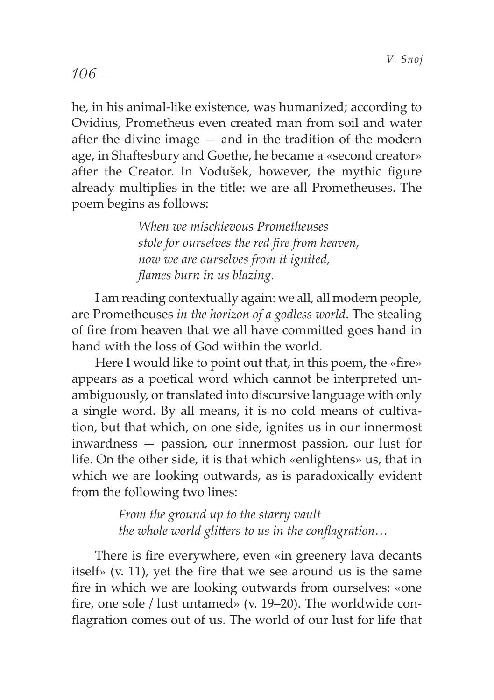he, in his animal-like existence, was humanized; according to Ovidius, Prometheus even created man from soil and water after the divine image  $-$  and in the tradition of the modern age, in Shaftesbury and Goethe, he became a «second creator» after the Creator. In Vodušek, however, the mythic figure already multiplies in the title: we are all Prometheuses. The poem begins as follows:

> *When we mischievous Prometheuses stole for ourselves the red fi re from heaven, now we are ourselves from it ignited, fl ames burn in us blazing.*

I am reading contextually again: we all, all modern people, are Prometheuses *in the horizon of a godless world*. The stealing of fire from heaven that we all have committed goes hand in hand with the loss of God within the world.

Here I would like to point out that, in this poem, the «fire» appears as a poetical word which cannot be interpreted unambiguously, or translated into discursive language with only a single word. By all means, it is no cold means of cultivation, but that which, on one side, ignites us in our innermost inwardness — passion, our innermost passion, our lust for life. On the other side, it is that which «enlightens» us, that in which we are looking outwards, as is paradoxically evident from the following two lines:

> *From the ground up to the starry vault the whole world glitters to us in the conflagration...*

There is fire everywhere, even «in greenery lava decants itself» (v. 11), yet the fire that we see around us is the same fire in which we are looking outwards from ourselves: «one fire, one sole / lust untamed» (v. 19-20). The worldwide conflagration comes out of us. The world of our lust for life that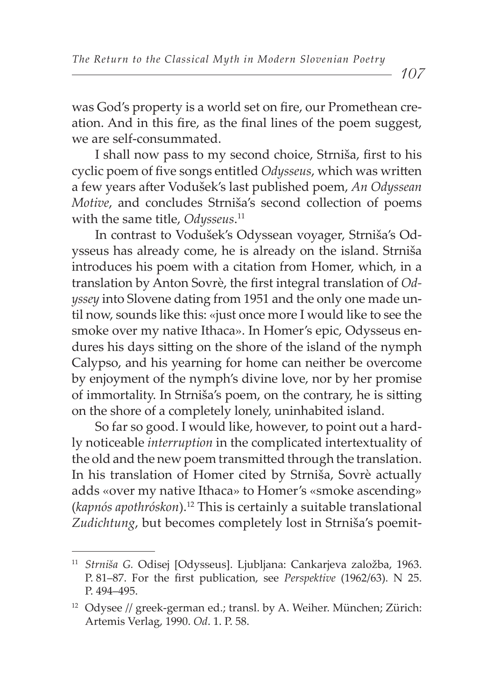107

was God's property is a world set on fire, our Promethean creation. And in this fire, as the final lines of the poem suggest, we are self-consummated.

I shall now pass to my second choice, Strniša, first to his cyclic poem of five songs entitled *Odysseus*, which was written a few years after Vodušek's last published poem, An Odyssean *Motive*, and concludes Strniša's second collection of poems with the same title, *Odysseus*. 11

In contrast to Vodušek's Odyssean voyager, Strniša's Odysseus has already come, he is already on the island. Strniša introduces his poem with a citation from Homer, which, in a translation by Anton Sovrè, the first integral translation of *Odyssey* into Slovene dating from 1951 and the only one made until now, sounds like this: «just once more I would like to see the smoke over my native Ithaca». In Homer's epic, Odysseus endures his days sitting on the shore of the island of the nymph Calypso, and his yearning for home can neither be overcome by enjoyment of the nymph's divine love, nor by her promise of immortality. In Strniša's poem, on the contrary, he is sitting on the shore of a completely lonely, uninhabited island.

So far so good. I would like, however, to point out a hardly noticeable *interruption* in the complicated intertextuality of the old and the new poem transmitted through the translation. In his translation of Homer cited by Strniša, Sovrè actually adds «over my native Ithaca» to Homer's «smoke ascending» (*kapnós apothróskon*).12 This is certainly a suitable translational *Zudichtung*, but becomes completely lost in Strniša's poemit-

<sup>11</sup> *Strniša G.* Odisej [Odysseus]. Ljubljana: Cankarjeva založba, 1963. P. 81–87. For the first publication, see *Perspektive* (1962/63). N 25. P. 494–495.

<sup>&</sup>lt;sup>12</sup> Odysee // greek-german ed.; transl. by A. Weiher. München; Zürich: Artemis Verlag, 1990. *Od*. 1. P. 58.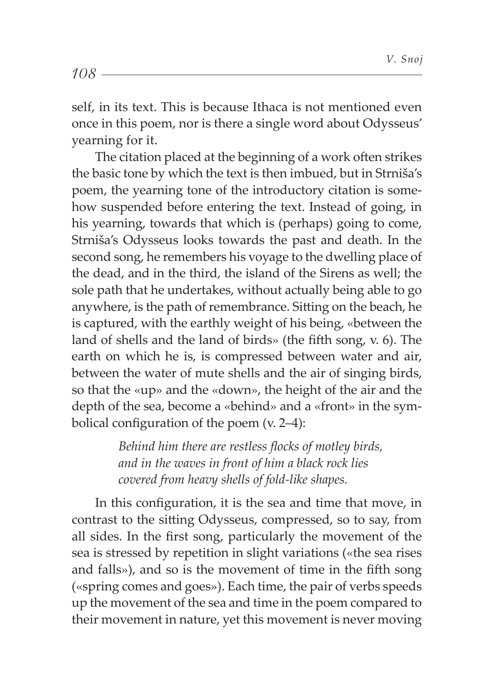self, in its text. This is because Ithaca is not mentioned even once in this poem, nor is there a single word about Odysseus' yearning for it.

The citation placed at the beginning of a work often strikes the basic tone by which the text is then imbued, but in Strniša's poem, the yearning tone of the introductory citation is somehow suspended before entering the text. Instead of going, in his yearning, towards that which is (perhaps) going to come, Strniša's Odysseus looks towards the past and death. In the second song, he remembers his voyage to the dwelling place of the dead, and in the third, the island of the Sirens as well; the sole path that he undertakes, without actually being able to go anywhere, is the path of remembrance. Sitting on the beach, he is captured, with the earthly weight of his being, «between the land of shells and the land of birds» (the fifth song,  $v$ ,  $6$ ). The earth on which he is, is compressed between water and air, between the water of mute shells and the air of singing birds, so that the «up» and the «down», the height of the air and the depth of the sea, become a «behind» and a «front» in the symbolical configuration of the poem  $(v. 2-4)$ :

> *Behind him there are restless flocks of motley birds, and in the waves in front of him a black rock lies covered from heavy shells of fold-like shapes.*

In this configuration, it is the sea and time that move, in contrast to the sitting Odysseus, compressed, so to say, from all sides. In the first song, particularly the movement of the sea is stressed by repetition in slight variations («the sea rises and falls»), and so is the movement of time in the fifth song («spring comes and goes»). Each time, the pair of verbs speeds up the movement of the sea and time in the poem compared to their movement in nature, yet this movement is never moving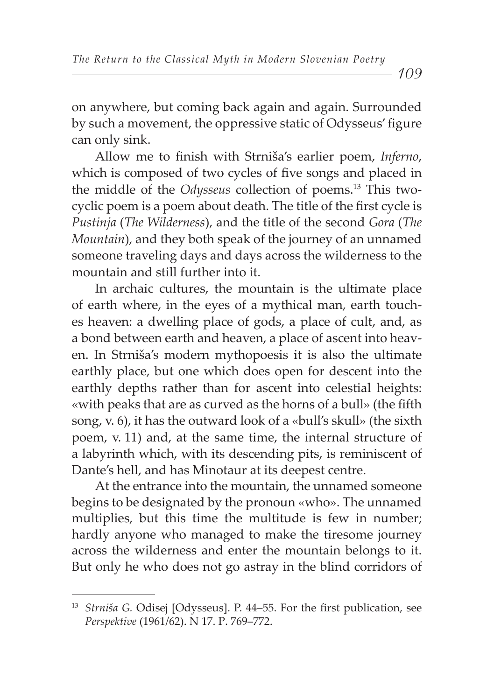on anywhere, but coming back again and again. Surrounded by such a movement, the oppressive static of Odysseus' figure can only sink.

Allow me to finish with Strniša's earlier poem, *Inferno*, which is composed of two cycles of five songs and placed in the middle of the *Odysseus* collection of poems.13 This twocyclic poem is a poem about death. The title of the first cycle is *Pustinja* (*The Wilderness*), and the title of the second *Gora* (*The Mountain*), and they both speak of the journey of an unnamed someone traveling days and days across the wilderness to the mountain and still further into it.

In archaic cultures, the mountain is the ultimate place of earth where, in the eyes of a mythical man, earth touches heaven: a dwelling place of gods, a place of cult, and, as a bond between earth and heaven, a place of ascent into heaven. In Strniša's modern mythopoesis it is also the ultimate earthly place, but one which does open for descent into the earthly depths rather than for ascent into celestial heights: «with peaks that are as curved as the horns of a bull» (the fifth song, v. 6), it has the outward look of a «bull's skull» (the sixth poem, v. 11) and, at the same time, the internal structure of a labyrinth which, with its descending pits, is reminiscent of Dante's hell, and has Minotaur at its deepest centre.

At the entrance into the mountain, the unnamed someone begins to be designated by the pronoun «who». The unnamed multiplies, but this time the multitude is few in number; hardly anyone who managed to make the tiresome journey across the wilderness and enter the mountain belongs to it. But only he who does not go astray in the blind corridors of

<sup>&</sup>lt;sup>13</sup> Strniša G. Odisej [Odysseus]. P. 44–55. For the first publication, see *Perspektive* (1961/62). N 17. Р. 769–772.